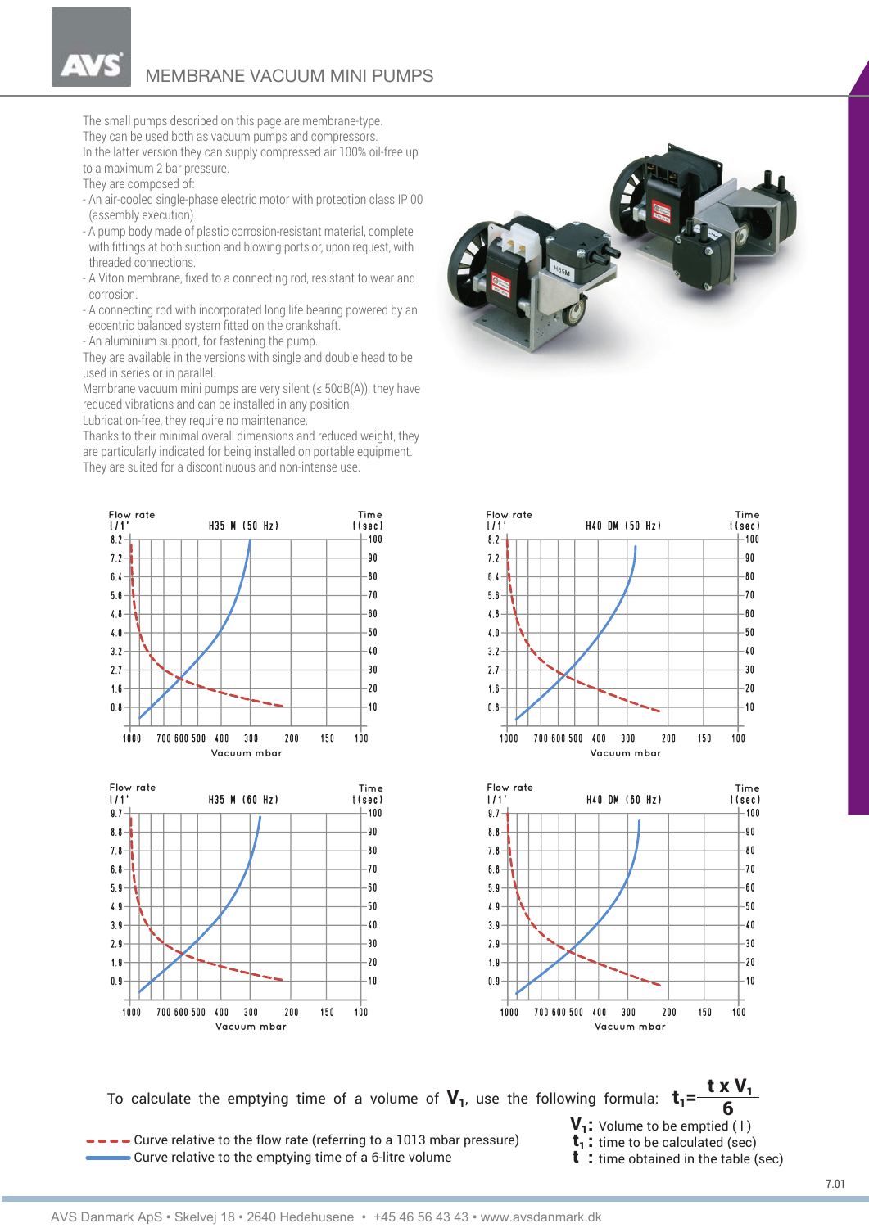The small pumps described on this page are membrane-type. They can be used both as vacuum pumps and compressors. In the latter version they can supply compressed air 100% oil-free up to a maximum 2 bar pressure.

They are composed of:

- An air-cooled single-phase electric motor with protection class IP 00 (assembly execution).
- A pump body made of plastic corrosion-resistant material, complete with fittings at both suction and blowing ports or, upon request, with threaded connections.
- A Viton membrane, fixed to a connecting rod, resistant to wear and corrosion.
- A connecting rod with incorporated long life bearing powered by an eccentric balanced system fitted on the crankshaft.
- An aluminium support, for fastening the pump.

They are available in the versions with single and double head to be used in series or in parallel.

Membrane vacuum mini pumps are very silent ( $\leq$  50dB(A)), they have reduced vibrations and can be installed in any position.

Lubrication-free, they require no maintenance.

Thanks to their minimal overall dimensions and reduced weight, they are particularly indicated for being installed on portable equipment. They are suited for a discontinuous and non-intense use.











To calculate the emptying time of a volume of  ${\bf V}_{1}$ , use the following formula:  ${\bf t}_{1}$ = $t \times V_1$ 6

- $\bullet$   $\bullet$   $\bullet$   $\bullet$  Curve relative to the flow rate (referring to a 1013 mbar pressure)  $t_1$ : time to be calculated (sec) Curve relative to the emptying time of a 6-litre volume **t** : time obtained in the table (sec)
- $V_1$ : Volume to be emptied (1)
	-
	-